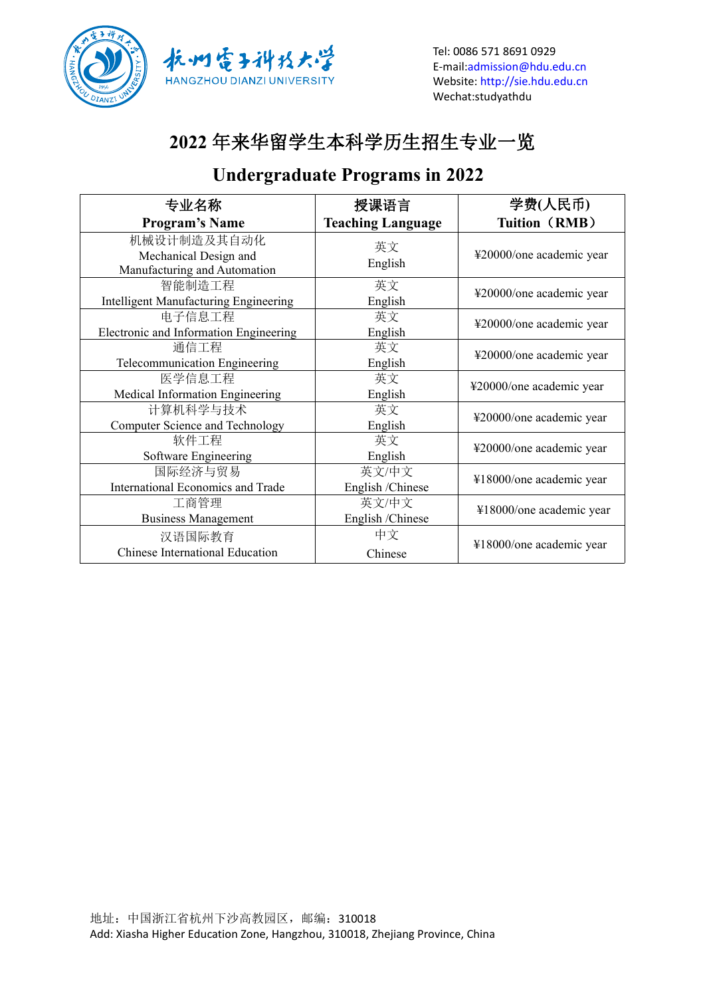



Tel: 0086 571 8691 0929 E-mail[:admission@hdu.edu.cn](mailto:admission@hdu.edu.cn) Website: <http://sie.hdu.edu.cn> Wechat:studyathdu

## **2022** 年来华留学生本科学历生招生专业一览

#### **Undergraduate Programs in 2022**

| 专业名称                                                                 | 授课语言                      | 学费(人民币)                  |
|----------------------------------------------------------------------|---------------------------|--------------------------|
| <b>Program's Name</b>                                                | <b>Teaching Language</b>  | <b>Tuition (RMB)</b>     |
| 机械设计制造及其自动化<br>Mechanical Design and<br>Manufacturing and Automation | 英文<br>English             | ¥20000/one academic year |
| 智能制造工程<br>Intelligent Manufacturing Engineering                      | 英文<br>English             | ¥20000/one academic year |
| 电子信息工程<br>Electronic and Information Engineering                     | 英文<br>English             | ¥20000/one academic year |
| 通信工程<br>Telecommunication Engineering                                | 英文<br>English             | ¥20000/one academic year |
| 医学信息工程<br>Medical Information Engineering                            | 英文<br>English             | ¥20000/one academic year |
| 计算机科学与技术<br>Computer Science and Technology                          | 英文<br>English             | ¥20000/one academic year |
| 软件工程<br>Software Engineering                                         | 英文<br>English             | ¥20000/one academic year |
| 国际经济与贸易<br>International Economics and Trade                         | 英文/中文<br>English /Chinese | ¥18000/one academic year |
| 工商管理<br><b>Business Management</b>                                   | 英文/中文<br>English /Chinese | ¥18000/one academic year |
| 汉语国际教育<br>Chinese International Education                            | 中文<br>Chinese             | ¥18000/one academic year |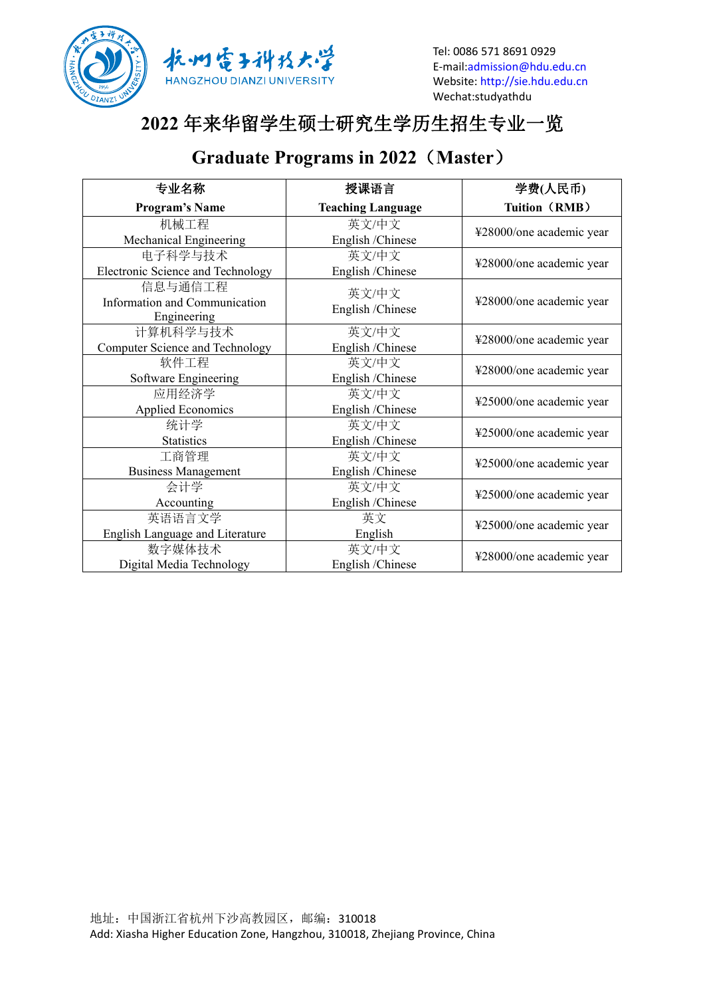



# **2022** 年来华留学生硕士研究生学历生招生专业一览

## **Graduate Programs in 2022**(**Master**)

| 专业名称                                                    | 授课语言                      | 学费(人民币)                  |  |
|---------------------------------------------------------|---------------------------|--------------------------|--|
| <b>Program's Name</b>                                   | <b>Teaching Language</b>  | Tuition (RMB)            |  |
| 机械工程                                                    | 英文/中文                     | ¥28000/one academic year |  |
| Mechanical Engineering                                  | English /Chinese          |                          |  |
| 电子科学与技术                                                 | 英文/中文                     | ¥28000/one academic year |  |
| Electronic Science and Technology                       | English / Chinese         |                          |  |
| 信息与通信工程<br>Information and Communication<br>Engineering | 英文/中文<br>English /Chinese | ¥28000/one academic year |  |
| 计算机科学与技术                                                | 英文/中文                     | ¥28000/one academic year |  |
| <b>Computer Science and Technology</b>                  | English /Chinese          |                          |  |
| 软件工程                                                    | 英文/中文                     | ¥28000/one academic year |  |
| Software Engineering                                    | English /Chinese          |                          |  |
| 应用经济学                                                   | 英文/中文                     | ¥25000/one academic year |  |
| <b>Applied Economics</b>                                | English /Chinese          |                          |  |
| 统计学                                                     | 英文/中文                     | ¥25000/one academic year |  |
| <b>Statistics</b>                                       | English / Chinese         |                          |  |
| 工商管理                                                    | 英文/中文                     | ¥25000/one academic year |  |
| <b>Business Management</b>                              | English /Chinese          |                          |  |
| 会计学                                                     | 英文/中文                     | ¥25000/one academic year |  |
| Accounting                                              | English /Chinese          |                          |  |
| 英语语言文学                                                  | 英文                        | ¥25000/one academic year |  |
| English Language and Literature                         | English                   |                          |  |
| 数字媒体技术                                                  | 英文/中文                     | ¥28000/one academic year |  |
| Digital Media Technology                                | English /Chinese          |                          |  |